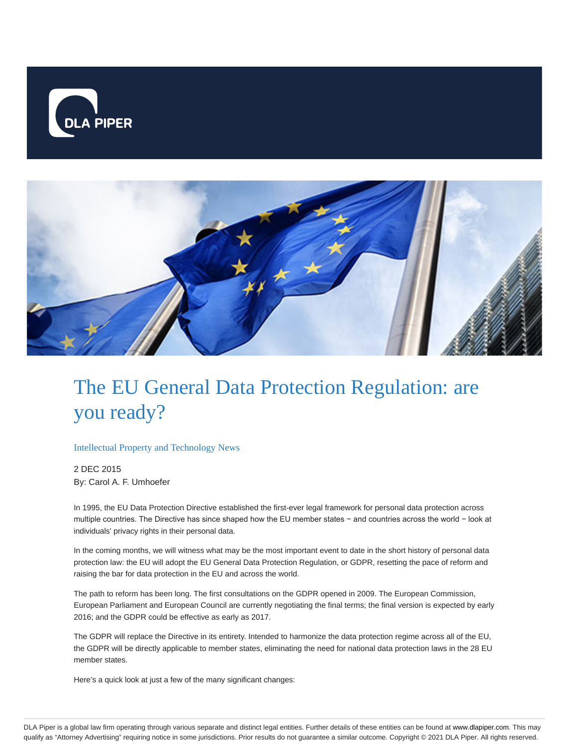



# The EU General Data Protection Regulation: are you ready?

#### Intellectual Property and Technology News

2 DEC 2015 By: Carol A. F. Umhoefer

In 1995, the EU Data Protection Directive established the first-ever legal framework for personal data protection across multiple countries. The Directive has since shaped how the EU member states − and countries across the world − look at individuals' privacy rights in their personal data.

In the coming months, we will witness what may be the most important event to date in the short history of personal data protection law: the EU will adopt the EU General Data Protection Regulation, or GDPR, resetting the pace of reform and raising the bar for data protection in the EU and across the world.

The path to reform has been long. The first consultations on the GDPR opened in 2009. The European Commission, European Parliament and European Council are currently negotiating the final terms; the final version is expected by early 2016; and the GDPR could be effective as early as 2017.

The GDPR will replace the Directive in its entirety. Intended to harmonize the data protection regime across all of the EU, the GDPR will be directly applicable to member states, eliminating the need for national data protection laws in the 28 EU member states.

Here's a quick look at just a few of the many significant changes: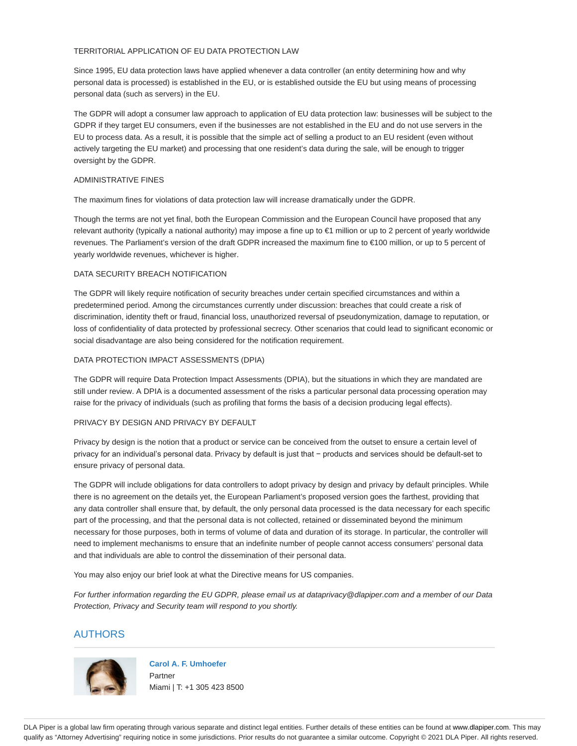## TERRITORIAL APPLICATION OF EU DATA PROTECTION LAW

Since 1995, EU data protection laws have applied whenever a data controller (an entity determining how and why personal data is processed) is established in the EU, or is established outside the EU but using means of processing personal data (such as servers) in the EU.

The GDPR will adopt a consumer law approach to application of EU data protection law: businesses will be subject to the GDPR if they target EU consumers, even if the businesses are not established in the EU and do not use servers in the EU to process data. As a result, it is possible that the simple act of selling a product to an EU resident (even without actively targeting the EU market) and processing that one resident's data during the sale, will be enough to trigger oversight by the GDPR.

#### ADMINISTRATIVE FINES

The maximum fines for violations of data protection law will increase dramatically under the GDPR.

Though the terms are not yet final, both the European Commission and the European Council have proposed that any relevant authority (typically a national authority) may impose a fine up to €1 million or up to 2 percent of yearly worldwide revenues. The Parliament's version of the draft GDPR increased the maximum fine to €100 million, or up to 5 percent of yearly worldwide revenues, whichever is higher.

## DATA SECURITY BREACH NOTIFICATION

The GDPR will likely require notification of security breaches under certain specified circumstances and within a predetermined period. Among the circumstances currently under discussion: breaches that could create a risk of discrimination, identity theft or fraud, financial loss, unauthorized reversal of pseudonymization, damage to reputation, or loss of confidentiality of data protected by professional secrecy. Other scenarios that could lead to significant economic or social disadvantage are also being considered for the notification requirement.

## DATA PROTECTION IMPACT ASSESSMENTS (DPIA)

The GDPR will require Data Protection Impact Assessments (DPIA), but the situations in which they are mandated are still under review. A DPIA is a documented assessment of the risks a particular personal data processing operation may raise for the privacy of individuals (such as profiling that forms the basis of a decision producing legal effects).

#### PRIVACY BY DESIGN AND PRIVACY BY DEFAULT

Privacy by design is the notion that a product or service can be conceived from the outset to ensure a certain level of privacy for an individual's personal data. Privacy by default is just that − products and services should be default-set to ensure privacy of personal data.

The GDPR will include obligations for data controllers to adopt privacy by design and privacy by default principles. While there is no agreement on the details yet, the European Parliament's proposed version goes the farthest, providing that any data controller shall ensure that, by default, the only personal data processed is the data necessary for each specific part of the processing, and that the personal data is not collected, retained or disseminated beyond the minimum necessary for those purposes, both in terms of volume of data and duration of its storage. In particular, the controller will need to implement mechanisms to ensure that an indefinite number of people cannot access consumers' personal data and that individuals are able to control the dissemination of their personal data.

You may also enjoy our brief look at what the Directive means for US companies.

For further information regarding the EU GDPR, please email us at dataprivacy@dlapiper.com and a member of our Data Protection, Privacy and Security team will respond to you shortly.

# AUTHORS



**Carol A. F. Umhoefer** Partner Miami | T: +1 305 423 8500

DLA Piper is a global law firm operating through various separate and distinct legal entities. Further details of these entities can be found at www.dlapiper.com. This may qualify as "Attorney Advertising" requiring notice in some jurisdictions. Prior results do not guarantee a similar outcome. Copyright © 2021 DLA Piper. All rights reserved.